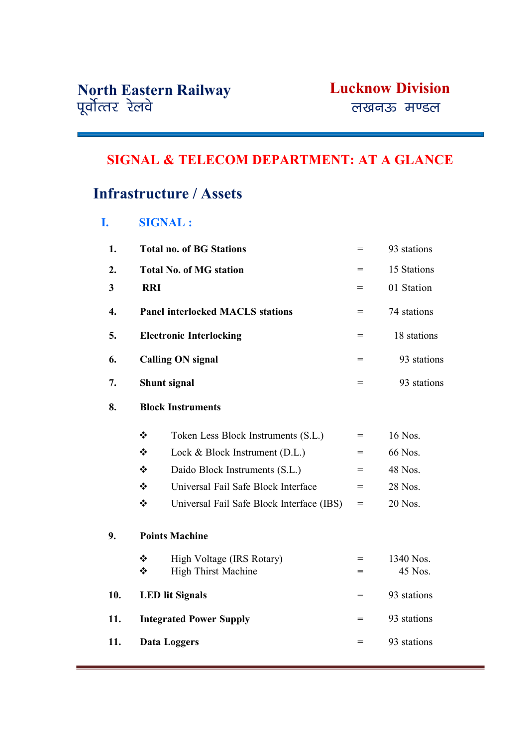### SIGNAL & TELECOM DEPARTMENT: AT A GLANCE

## Infrastructure / Assets

#### I. SIGNAL :

| 1.  |                                | <b>Total no. of BG Stations</b>           | $=$ | 93 stations |
|-----|--------------------------------|-------------------------------------------|-----|-------------|
| 2.  |                                | <b>Total No. of MG station</b>            | $=$ | 15 Stations |
| 3   | <b>RRI</b>                     |                                           |     | 01 Station  |
| 4.  |                                | <b>Panel interlocked MACLS stations</b>   | $=$ | 74 stations |
| 5.  |                                | <b>Electronic Interlocking</b>            | $=$ | 18 stations |
| 6.  |                                | <b>Calling ON signal</b>                  | $=$ | 93 stations |
| 7.  | Shunt signal                   |                                           |     | 93 stations |
| 8.  |                                | <b>Block Instruments</b>                  |     |             |
|     | $\bullet$                      | Token Less Block Instruments (S.L.)       | $=$ | 16 Nos.     |
|     | ❖                              | Lock & Block Instrument (D.L.)            | $=$ | 66 Nos.     |
|     | ❖                              | Daido Block Instruments (S.L.)            | $=$ | 48 Nos.     |
|     | ❖                              | Universal Fail Safe Block Interface       | $=$ | 28 Nos.     |
|     | ❖                              | Universal Fail Safe Block Interface (IBS) | $=$ | 20 Nos.     |
| 9.  |                                | <b>Points Machine</b>                     |     |             |
|     | ❖                              | High Voltage (IRS Rotary)                 | $=$ | 1340 Nos.   |
|     | ❖                              | <b>High Thirst Machine</b>                | $=$ | 45 Nos.     |
| 10. | <b>LED</b> lit Signals         |                                           | $=$ | 93 stations |
| 11. | <b>Integrated Power Supply</b> |                                           |     | 93 stations |
| 11. | <b>Data Loggers</b>            |                                           |     | 93 stations |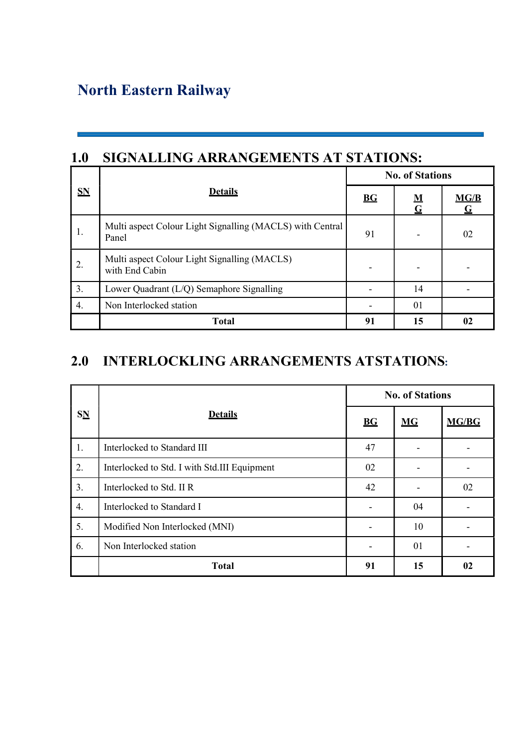### 1.0 SIGNALLING ARRANGEMENTS AT STATIONS:

| $S_{N}$ | <b>Details</b>                                                     | <b>No. of Stations</b> |                |                     |  |
|---------|--------------------------------------------------------------------|------------------------|----------------|---------------------|--|
|         |                                                                    | BG                     | ${\bf M}$<br>G | MG/B<br>$\mathbf G$ |  |
| 1.      | Multi aspect Colour Light Signalling (MACLS) with Central<br>Panel | 91                     |                | 02                  |  |
| 2.      | Multi aspect Colour Light Signalling (MACLS)<br>with End Cabin     |                        |                |                     |  |
| 3.      | Lower Quadrant (L/Q) Semaphore Signalling                          |                        | 14             |                     |  |
| 4.      | Non Interlocked station                                            |                        | 01             |                     |  |
|         | <b>Total</b>                                                       | 91                     | 15             | 02                  |  |

### 2.0 INTERLOCKLING ARRANGEMENTS AT STATIONS:

| $S_{N}$ | <b>Details</b>                               | <b>No. of Stations</b> |    |       |  |
|---------|----------------------------------------------|------------------------|----|-------|--|
|         |                                              | <b>BG</b>              | MG | MG/BG |  |
| 1.      | Interlocked to Standard III                  | 47                     |    |       |  |
| 2.      | Interlocked to Std. I with Std.III Equipment | 02                     |    |       |  |
| 3.      | Interlocked to Std. II R                     | 42                     |    | 02    |  |
| 4.      | Interlocked to Standard I                    |                        | 04 |       |  |
| 5.      | Modified Non Interlocked (MNI)               |                        | 10 |       |  |
| 6.      | Non Interlocked station                      |                        | 01 |       |  |
|         | <b>Total</b>                                 | 91                     | 15 | 02    |  |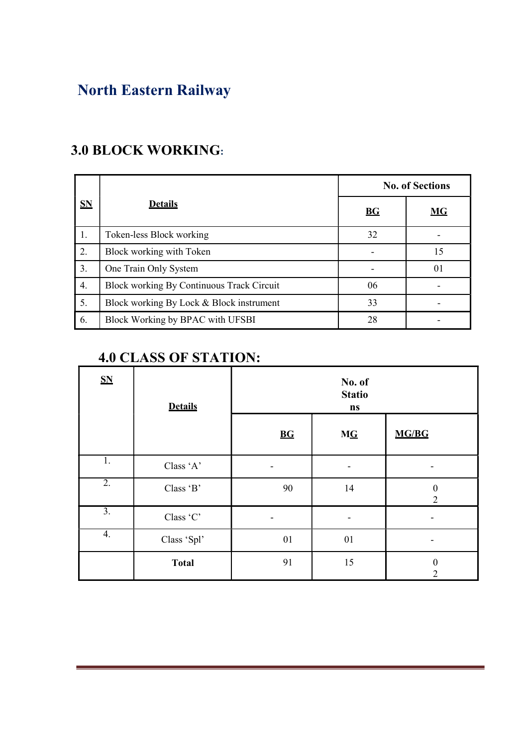# North Eastern Railway

|    |                                           | <b>No. of Sections</b> |    |  |
|----|-------------------------------------------|------------------------|----|--|
| SN | <b>Details</b>                            | BG                     | MG |  |
| 1. | Token-less Block working                  | 32                     |    |  |
| 2. | Block working with Token                  |                        | 15 |  |
| 3. | One Train Only System                     |                        | 01 |  |
| 4. | Block working By Continuous Track Circuit | 06                     |    |  |
| 5. | Block working By Lock & Block instrument  | 33                     |    |  |
| 6. | Block Working by BPAC with UFSBI          | 28                     |    |  |

### 3.0 BLOCK WORKING:

## 4.0 CLASS OF STATION:

| $S_{N}$          | <b>Details</b> | No. of<br><b>Statio</b><br>$\mathbf{n}\mathbf{s}$ |    |                                    |  |
|------------------|----------------|---------------------------------------------------|----|------------------------------------|--|
|                  |                | B G                                               | MG | MG/BG                              |  |
| 1.               | Class 'A'      |                                                   |    |                                    |  |
| $\overline{2}$ . | Class 'B'      | 90                                                | 14 | $\boldsymbol{0}$<br>2              |  |
| $\overline{3}$ . | Class 'C'      |                                                   | -  |                                    |  |
| 4.               | Class 'Spl'    | $01\,$                                            | 01 |                                    |  |
|                  | <b>Total</b>   | 91                                                | 15 | $\boldsymbol{0}$<br>$\overline{2}$ |  |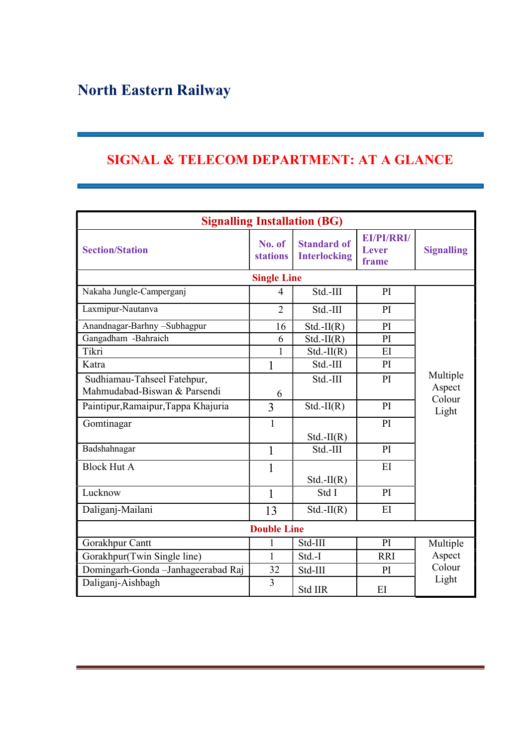# North Eastern Railway

### SIGNAL & TELECOM DEPARTMENT: AT A GLANCE

| <b>Signalling Installation (BG)</b> |                           |                                           |                                     |                   |  |  |
|-------------------------------------|---------------------------|-------------------------------------------|-------------------------------------|-------------------|--|--|
| <b>Section/Station</b>              | No. of<br><b>stations</b> | <b>Standard of</b><br><b>Interlocking</b> | EI/PI/RRI/<br><b>Lever</b><br>frame | <b>Signalling</b> |  |  |
|                                     | <b>Single Line</b>        |                                           |                                     |                   |  |  |
| Nakaha Jungle-Camperganj            | 4                         | Std.-III                                  | PI                                  |                   |  |  |
| Laxmipur-Nautanva                   | $\overline{2}$            | Std.-III                                  | PI                                  |                   |  |  |
| Anandnagar-Barhny -Subhagpur        | 16                        | Std.II(R)                                 | PI                                  |                   |  |  |
| Gangadham -Bahraich                 | 6                         | $Std.-H(R)$                               | PI                                  |                   |  |  |
| Tikri                               | 1                         | $Std.-II(R)$                              | EI                                  |                   |  |  |
| Katra                               | 1                         | Std.-III                                  | PI                                  |                   |  |  |
| Sudhiamau-Tahseel Fatehpur,         |                           | Std.-III                                  | PI                                  | Multiple          |  |  |
| Mahmudabad-Biswan & Parsendi        | 6                         |                                           |                                     | Aspect<br>Colour  |  |  |
| Paintipur, Ramaipur, Tappa Khajuria | $\overline{3}$            | $Std.-H(R)$                               | PI                                  | Light             |  |  |
| Gomtinagar                          | $\mathbf{1}$              |                                           | PI                                  |                   |  |  |
|                                     |                           | $Std.-H(R)$                               |                                     |                   |  |  |
| Badshahnagar                        | 1                         | Std.-III                                  | PI                                  |                   |  |  |
| <b>Block Hut A</b>                  | 1                         |                                           | EI                                  |                   |  |  |
|                                     |                           | $Std.-II(R)$                              |                                     |                   |  |  |
| Lucknow                             | 1                         | Std I                                     | PI                                  |                   |  |  |
| Daliganj-Mailani                    | 13                        | $Std.-H(R)$                               | EI                                  |                   |  |  |
| <b>Double Line</b>                  |                           |                                           |                                     |                   |  |  |
| Gorakhpur Cantt                     | 1                         | Std-III                                   | PI                                  | Multiple          |  |  |
| Gorakhpur(Twin Single line)         | $\mathbf{1}$              | Std.-I                                    | <b>RRI</b>                          | Aspect            |  |  |
| Domingarh-Gonda -Janhageerabad Raj  | 32                        | Std-III                                   | PI                                  | Colour            |  |  |
| Daliganj-Aishbagh                   | $\overline{3}$            | Std IIR                                   | $E$ I                               | Light             |  |  |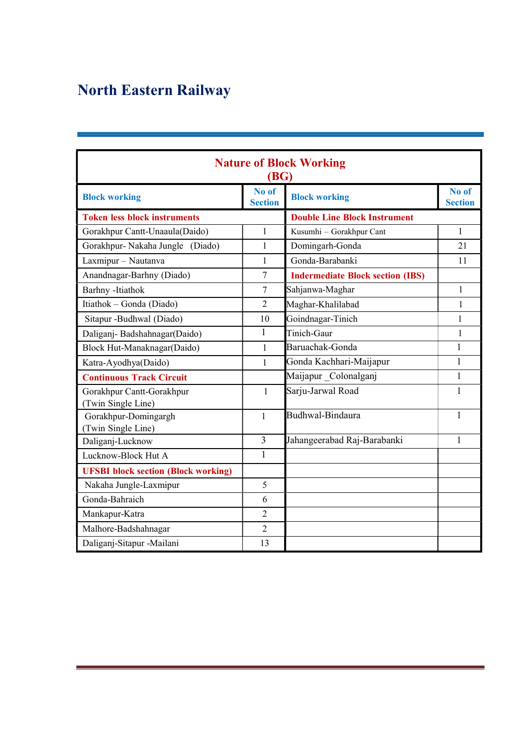# North Eastern Railway

| <b>Nature of Block Working</b><br>(BG)          |                         |                                         |                         |  |
|-------------------------------------------------|-------------------------|-----------------------------------------|-------------------------|--|
| <b>Block working</b>                            | No of<br><b>Section</b> | <b>Block working</b>                    | No of<br><b>Section</b> |  |
| <b>Token less block instruments</b>             |                         | <b>Double Line Block Instrument</b>     |                         |  |
| Gorakhpur Cantt-Unaaula(Daido)                  | $\mathbf{1}$            | Kusumhi - Gorakhpur Cant                | 1                       |  |
| Gorakhpur- Nakaha Jungle (Diado)                | $\mathbf{1}$            | Domingarh-Gonda                         | 21                      |  |
| Laxmipur - Nautanva                             | $\mathbf{1}$            | Gonda-Barabanki                         | 11                      |  |
| Anandnagar-Barhny (Diado)                       | $\tau$                  | <b>Indermediate Block section (IBS)</b> |                         |  |
| Barhny -Itiathok                                | $\overline{7}$          | Sahjanwa-Maghar                         | $\mathbf{1}$            |  |
| Itiathok - Gonda (Diado)                        | $\overline{2}$          | Maghar-Khalilabad                       | 1                       |  |
| Sitapur -Budhwal (Diado)                        | 10                      | Goindnagar-Tinich                       | 1                       |  |
| Daliganj-Badshahnagar(Daido)                    | $\mathbf{1}$            | Tinich-Gaur                             | $\mathbf{1}$            |  |
| Block Hut-Manaknagar(Daido)                     | $\mathbf{1}$            | Baruachak-Gonda                         | 1                       |  |
| Katra-Ayodhya(Daido)                            | 1                       | Gonda Kachhari-Maijapur                 | $\mathbf{1}$            |  |
| <b>Continuous Track Circuit</b>                 |                         | Maijapur Colonalganj                    | $\mathbf{1}$            |  |
| Gorakhpur Cantt-Gorakhpur<br>(Twin Single Line) | $\mathbf{1}$            | Sarju-Jarwal Road                       | $\mathbf{1}$            |  |
| Gorakhpur-Domingargh<br>(Twin Single Line)      | $\mathbf{1}$            | Budhwal-Bindaura                        | $\mathbf{1}$            |  |
| Daliganj-Lucknow                                | 3                       | Jahangeerabad Raj-Barabanki             | 1                       |  |
| Lucknow-Block Hut A                             | $\mathbf{1}$            |                                         |                         |  |
| <b>UFSBI</b> block section (Block working)      |                         |                                         |                         |  |
| Nakaha Jungle-Laxmipur                          | 5                       |                                         |                         |  |
| Gonda-Bahraich                                  | 6                       |                                         |                         |  |
| Mankapur-Katra                                  | $\overline{2}$          |                                         |                         |  |
| Malhore-Badshahnagar                            | $\overline{2}$          |                                         |                         |  |
| Daliganj-Sitapur -Mailani                       | 13                      |                                         |                         |  |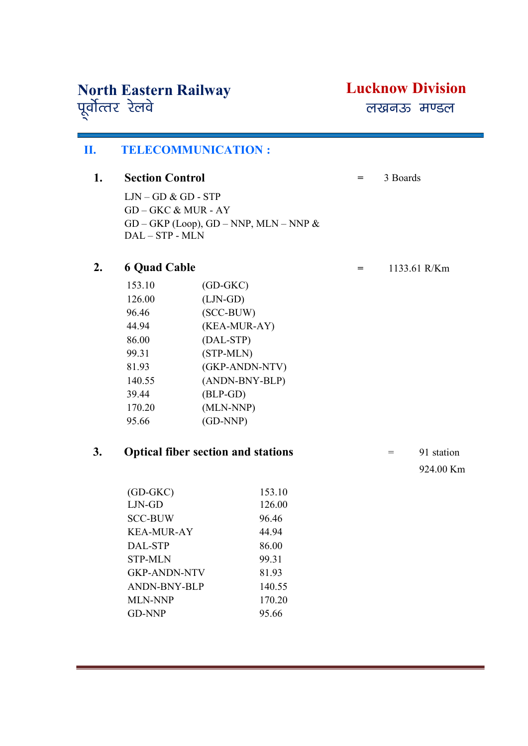लखनऊ मण्डल

| П. | <b>TELECOMMUNICATION:</b>                                                                                    |                                           |        |          |                   |
|----|--------------------------------------------------------------------------------------------------------------|-------------------------------------------|--------|----------|-------------------|
| 1. | <b>Section Control</b>                                                                                       |                                           | $=$    | 3 Boards |                   |
|    | $LJN - GD & GD - STP$<br>GD-GKC & MUR - AY<br>$GD - GKP$ (Loop), $GD - NNP$ , MLN – NNP &<br>DAL - STP - MLN |                                           |        |          |                   |
| 2. | <b>6 Quad Cable</b>                                                                                          |                                           |        | $=$      | 1133.61 R/Km      |
|    | 153.10                                                                                                       | $(GD-GKC)$                                |        |          |                   |
|    | 126.00                                                                                                       | $(LJN-GD)$                                |        |          |                   |
|    | 96.46                                                                                                        | (SCC-BUW)                                 |        |          |                   |
|    | 44.94                                                                                                        | (KEA-MUR-AY)                              |        |          |                   |
|    | 86.00                                                                                                        | (DAL-STP)                                 |        |          |                   |
|    | (STP-MLN)<br>99.31                                                                                           |                                           |        |          |                   |
|    | 81.93                                                                                                        | (GKP-ANDN-NTV)                            |        |          |                   |
|    | 140.55                                                                                                       | (ANDN-BNY-BLP)                            |        |          |                   |
|    | 39.44                                                                                                        | $(BLP-GD)$                                |        |          |                   |
|    | 170.20                                                                                                       | (MLN-NNP)                                 |        |          |                   |
|    | 95.66                                                                                                        | $(GD-NNP)$                                |        |          |                   |
| 3. |                                                                                                              | <b>Optical fiber section and stations</b> |        |          | 91 station<br>$=$ |
|    |                                                                                                              |                                           |        |          | 924.00 Km         |
|    | $(GD-GKC)$                                                                                                   |                                           | 153.10 |          |                   |
|    | LJN-GD                                                                                                       |                                           | 126.00 |          |                   |
|    | <b>SCC-BUW</b>                                                                                               |                                           | 96.46  |          |                   |
|    | <b>KEA-MUR-AY</b>                                                                                            |                                           | 44.94  |          |                   |
|    | DAL-STP                                                                                                      |                                           | 86.00  |          |                   |
|    | <b>STP-MLN</b>                                                                                               |                                           | 99.31  |          |                   |
|    | <b>GKP-ANDN-NTV</b>                                                                                          |                                           | 81.93  |          |                   |
|    | ANDN-BNY-BLP                                                                                                 |                                           | 140.55 |          |                   |
|    | MLN-NNP                                                                                                      |                                           | 170.20 |          |                   |
|    | <b>GD-NNP</b>                                                                                                |                                           | 95.66  |          |                   |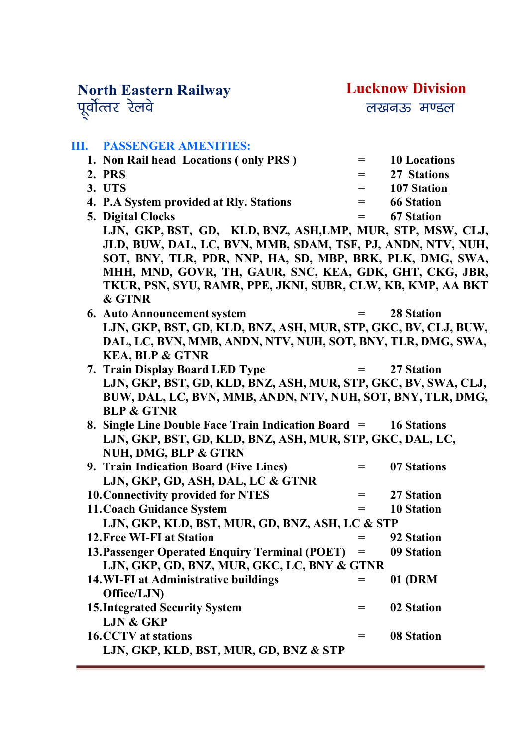### North Eastern Railway Lucknow Division पूर्वोत्तर रेलवे

लखनऊ मण्डल

#### III. PASSENGER AMENITIES:

| 1. Non Rail head Locations (only PRS)   | $=$     | <b>10</b> Locations |
|-----------------------------------------|---------|---------------------|
| 2. PRS                                  | $=$     | 27 Stations         |
| 3. UTS                                  | $=$ $-$ | 107 Station         |
| 4. P.A System provided at Rly. Stations | $=$     | <b>66 Station</b>   |
| <b>5. Digital Clocks</b>                | $=$     | <b>67 Station</b>   |
|                                         |         |                     |

LJN, GKP, BST, GD, KLD, BNZ, ASH,LMP, MUR, STP, MSW, CLJ, JLD, BUW, DAL, LC, BVN, MMB, SDAM, TSF, PJ, ANDN, NTV, NUH, SOT, BNY, TLR, PDR, NNP, HA, SD, MBP, BRK, PLK, DMG, SWA, MHH, MND, GOVR, TH, GAUR, SNC, KEA, GDK, GHT, CKG, JBR, TKUR, PSN, SYU, RAMR, PPE, JKNI, SUBR, CLW, KB, KMP, AA BKT & GTNR

- 6. Auto Announcement system = 28 Station LJN, GKP, BST, GD, KLD, BNZ, ASH, MUR, STP, GKC, BV, CLJ, BUW, DAL, LC, BVN, MMB, ANDN, NTV, NUH, SOT, BNY, TLR, DMG, SWA, KEA, BLP & GTNR
- 7. Train Display Board LED Type = 27 Station LJN, GKP, BST, GD, KLD, BNZ, ASH, MUR, STP, GKC, BV, SWA, CLJ, BUW, DAL, LC, BVN, MMB, ANDN, NTV, NUH, SOT, BNY, TLR, DMG, BLP & GTNR

| 8. Single Line Double Face Train Indication Board =       |         | <b>16 Stations</b> |
|-----------------------------------------------------------|---------|--------------------|
| LJN, GKP, BST, GD, KLD, BNZ, ASH, MUR, STP, GKC, DAL, LC, |         |                    |
| NUH, DMG, BLP & GTRN                                      |         |                    |
| 9. Train Indication Board (Five Lines)                    | $=$ $-$ | 07 Stations        |
|                                                           |         |                    |

| LJN, GKP, GD, ASH, DAL, LC & GTNR               |     |                   |
|-------------------------------------------------|-----|-------------------|
| <b>10. Connectivity provided for NTES</b>       | =   | 27 Station        |
| <b>11. Coach Guidance System</b>                |     | <b>10 Station</b> |
| LJN, GKP, KLD, BST, MUR, GD, BNZ, ASH, LC & STP |     |                   |
| <b>12. Free WI-FI at Station</b>                |     | <b>92 Station</b> |
| 13. Passenger Operated Enquiry Terminal (POET)  | $=$ | 09 Station        |
| LJN, GKP, GD, BNZ, MUR, GKC, LC, BNY & GTNR     |     |                   |
| 14. WI-FI at Administrative buildings           |     | 01 (DRM           |
| Office/LJN)                                     |     |                   |
| <b>15. Integrated Security System</b>           |     | 02 Station        |
| <b>LJN &amp; GKP</b>                            |     |                   |
| <b>16.CCTV</b> at stations                      |     | 08 Station        |
| LJN, GKP, KLD, BST, MUR, GD, BNZ & STP          |     |                   |